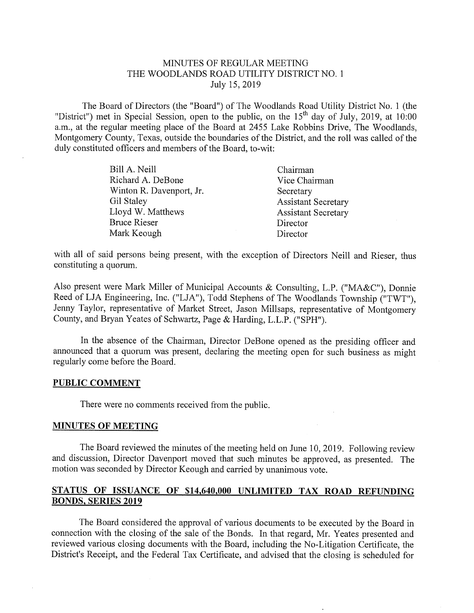### MINUTES OF REGULAR MEETING THE WOODLANDS ROAD UTILITY DISTRICT NO. <sup>1</sup> July 15, 2019

The Board of Directors (the "Board") of The Woodlands Road Utility District No. <sup>1</sup> (the "District") met in Special Session, open to the public, on the  $15<sup>th</sup>$  day of July, 2019, at 10:00 a,m., at the regular meeting place of the Board at 2455 Lake Robbins Drive, The Woodlands, Montgomery County, Texas, outside the boundaries of the District, and the roll was called of the duly constituted officers and members of the Board, to-wit:

| Bill A. Neill            | Chairman                   |
|--------------------------|----------------------------|
| Richard A. DeBone        | Vice Chairman              |
| Winton R. Davenport, Jr. | Secretary                  |
| Gil Staley               | <b>Assistant Secretary</b> |
| Lloyd W. Matthews        | <b>Assistant Secretary</b> |
| Bruce Rieser             | Director                   |
| Mark Keough              | Director                   |
|                          |                            |

with all of said persons being present, with the exception of Directors Neill and Rieser, thus constituting a quorum,

Also present were Mark Miller of Municipal Accounts & Consulting, L.P. ("MA&C"), Donnie Reed of LJA Engineering, Inc, ("LJA"), Todd Stephens of The Woodlands Township ("TWT"), Jenny Taylor, representative of Market Street, Jason Millsaps, representative of Montgomery County, and Bryan Yeates of Schwartz, Page & Harding, L.L.P. ("SPH").

In the absence of the Chairman, Director DeBone opened as the presiding officer and announced that a quorum was present, declaring the meeting open for such business as might regularly come before the Board.

#### PUBLIC COMMENT

There were no comments received from the public,

#### MINUTES OF MEETING

The Board reviewed the minutes of the meeting held on June 10, 2019. Following review and discussion, Director Davenport moved that such minutes be approved, as presented, The motion was seconded by Director Keough and carried by unanimous vote.

## STATUS OF ISSUANCE OF \$14.640,000 UNLIMITED TAX ROAD REFUNDING BONDS, SERIES 2019

The Board considered the approval of various documents to be executed by the Board in connection with the closing of the sale of the Bonds. In that regard, Mr. Yeates presented and reviewed various closing documents with the Board, including the No-Litigation Certificate, the District's Receipt, and the Federal Tax Certificate, and advised that the closing is scheduled for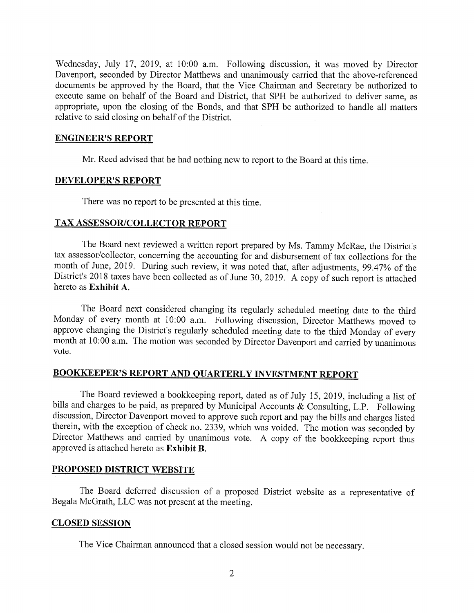Wednesday, July 17, 2019, at 10:00 a.m, Following discussion, it was moved by Director Davenport, seconded by Director Matthews and unanimously carried that the above-referenced documents be approved by the Board, that the Vice Chairman and Secretary be authorized to execute same on behalf of the Board and District, that SPH be authorized to deliver same, as appropriate, upon the closing of the Bonds, and that SPH be authorized to handle all matters relative to said closing on behalf of the District.

#### ENGINEER'S REPORT

Mr, Reed advised that he had nothing new to report to the Board at this time.

#### DEVELOPER'S REPORT

There was no report to be presented at this time.

#### TAX ASSESSOR/COLLECTOR REPORT

The Board next reviewed a written report prepared by Ms, Tammy McRae, the District's tax assessor/collector, concerning the accounting for and disbursement of tax collections for the month of June, 2019. During such review, it was noted that, after adjustments, 99.47% of the District's 2018 taxes have been collected as of June 30, 2019. A copy of such report is attached hereto as Exhibit A.

The Board next considered changing its regularly scheduled meeting date to the third Monday of every month at 10:00 a.m. Following discussion, Director Matthews moved to approve changing the District's regularly scheduled meeting date to the third Monday of every month at 10;00 a.m, The motion was seconded by Director Davenport and carried by unanimous vote.

# BOOKKEEPER'S REPORT AND QUARTERLY INVESTMENT REPORT

The Board reviewed a bookkeeping report, dated as of July 15, 2019, including a list of bills and charges to be paid, as prepared by Municipal Accounts & Consulting, L.P. Following discussion, Director Davenport moved to approve such report and pay the bills and charges listed therein, with the exception of check no, 2339, which was voided. The motion was seconded by Director Matthews and carried by unanimous vote. A copy of the bookkeeping report thus approved is attached hereto as Exhibit B.

## PROPOSED DISTRICT WEBSITE

The Board deferred discussion of a proposed District website as a representative of Begala McGrath, LLC was not present at the meeting.

### CLOSED SESSION

The Vice Chairman announced that a closed session would not be necessary.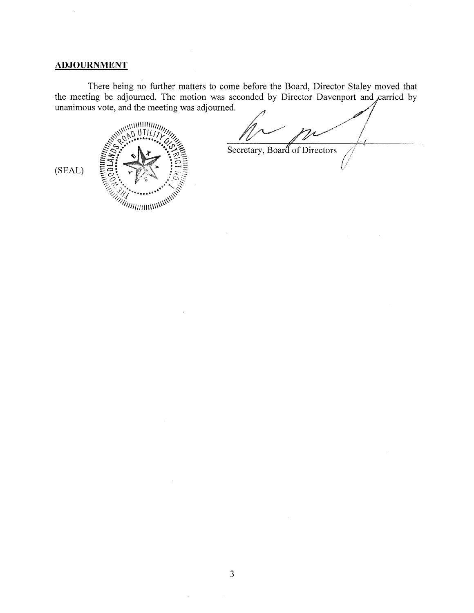## **ADJOURNMENT**

There being no further matters to come before the Board, Director Staley moved that the meeting be adjourned. The motion was seconded by Director Davenport and carried by unanimous vote, and the meeting was adjourned.



 $\mathcal{Z}$ Secretary, Board of Directors

(SEAL)

 $\bar{z}$